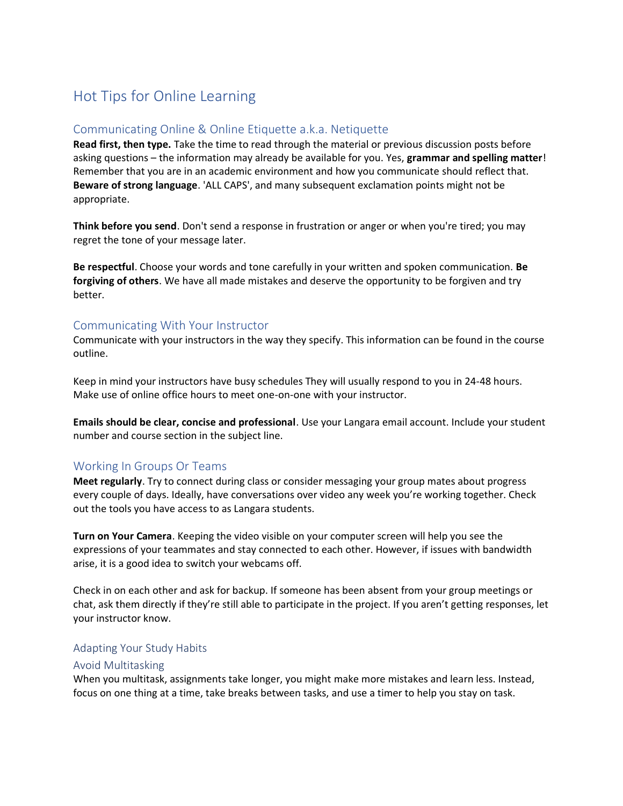# Hot Tips for Online Learning

# Communicating Online & Online Etiquette a.k.a. Netiquette

**Read first, then type.** Take the time to read through the material or previous discussion posts before asking questions – the information may already be available for you. Yes, **grammar and spelling matter**! Remember that you are in an academic environment and how you communicate should reflect that. **Beware of strong language**. 'ALL CAPS', and many subsequent exclamation points might not be appropriate.

**Think before you send**. Don't send a response in frustration or anger or when you're tired; you may regret the tone of your message later.

**Be respectful**. Choose your words and tone carefully in your written and spoken communication. **Be forgiving of others**. We have all made mistakes and deserve the opportunity to be forgiven and try better.

#### Communicating With Your Instructor

Communicate with your instructors in the way they specify. This information can be found in the course outline.

Keep in mind your instructors have busy schedules They will usually respond to you in 24-48 hours. Make use of online office hours to meet one-on-one with your instructor.

**Emails should be clear, concise and professional**. Use your Langara email account. Include your student number and course section in the subject line.

## Working In Groups Or Teams

**Meet regularly**. Try to connect during class or consider messaging your group mates about progress every couple of days. Ideally, have conversations over video any week you're working together. Check out the tools you have access to as Langara students.

**Turn on Your Camera**. Keeping the video visible on your computer screen will help you see the expressions of your teammates and stay connected to each other. However, if issues with bandwidth arise, it is a good idea to switch your webcams off.

Check in on each other and ask for backup. If someone has been absent from your group meetings or chat, ask them directly if they're still able to participate in the project. If you aren't getting responses, let your instructor know.

#### Adapting Your Study Habits

#### Avoid Multitasking

When you multitask, assignments take longer, you might make more mistakes and learn less. Instead, focus on one thing at a time, take breaks between tasks, and use a timer to help you stay on task.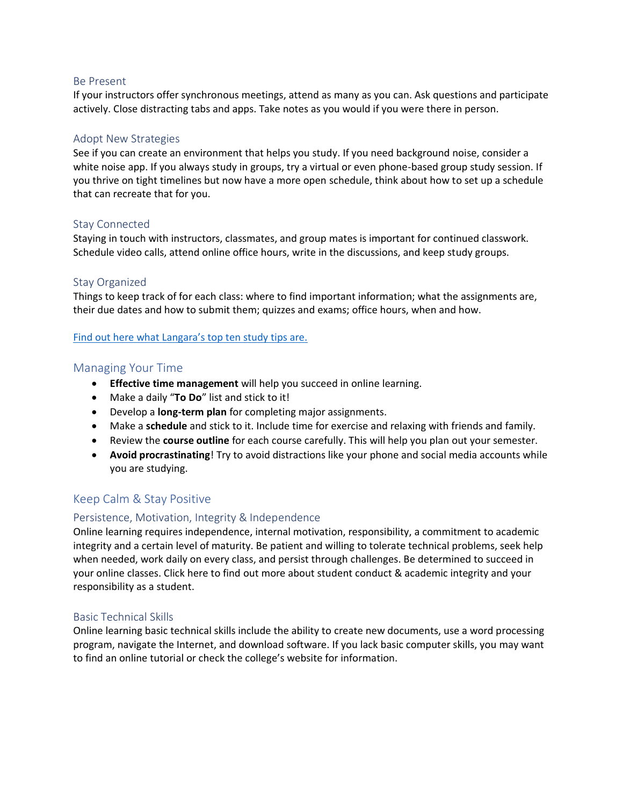#### Be Present

If your instructors offer synchronous meetings, attend as many as you can. Ask questions and participate actively. Close distracting tabs and apps. Take notes as you would if you were there in person.

## Adopt New Strategies

See if you can create an environment that helps you study. If you need background noise, consider a white noise app. If you always study in groups, try a virtual or even phone-based group study session. If you thrive on tight timelines but now have a more open schedule, think about how to set up a schedule that can recreate that for you.

#### Stay Connected

Staying in touch with instructors, classmates, and group mates is important for continued classwork. Schedule video calls, attend online office hours, write in the discussions, and keep study groups.

### Stay Organized

Things to keep track of for each class: where to find important information; what the assignments are, their due dates and how to submit them; quizzes and exams; office hours, when and how.

[Find out here what Langara's top ten study tips are.](https://langara.ca/student-services/counselling/student-success/top-ten-study-tips.html)

## Managing Your Time

- **Effective time management** will help you succeed in online learning.
- Make a daily "**To Do**" list and stick to it!
- Develop a **long-term plan** for completing major assignments.
- Make a **schedule** and stick to it. Include time for exercise and relaxing with friends and family.
- Review the **course outline** for each course carefully. This will help you plan out your semester.
- **Avoid procrastinating**! Try to avoid distractions like your phone and social media accounts while you are studying.

# Keep Calm & Stay Positive

## Persistence, Motivation, Integrity & Independence

Online learning requires independence, internal motivation, responsibility, a commitment to academic integrity and a certain level of maturity. Be patient and willing to tolerate technical problems, seek help when needed, work daily on every class, and persist through challenges. Be determined to succeed in your online classes. Click here to find out more about student conduct & academic integrity and your responsibility as a student.

## Basic Technical Skills

 program, navigate the Internet, and download software. If you lack basic computer skills, you may want Online learning basic technical skills include the ability to create new documents, use a word processing to find an online tutorial or check the college's website for information.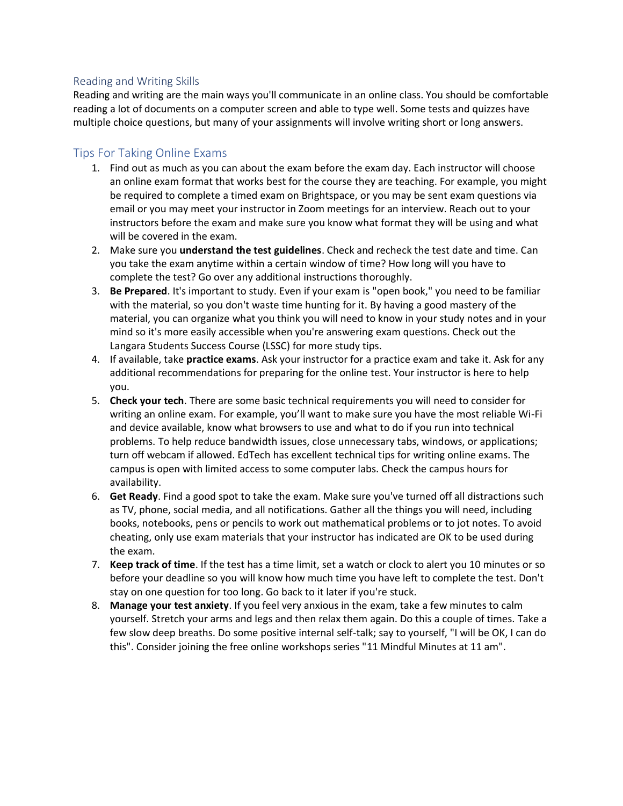# Reading and Writing Skills

Reading and writing are the main ways you'll communicate in an online class. You should be comfortable reading a lot of documents on a computer screen and able to type well. Some tests and quizzes have multiple choice questions, but many of your assignments will involve writing short or long answers.

# Tips For Taking Online Exams

- instructors before the exam and make sure you know what format they will be using and what 1. Find out as much as you can about the exam before the exam day. Each instructor will choose an online exam format that works best for the course they are teaching. For example, you might be required to complete a timed exam on Brightspace, or you may be sent exam questions via email or you may meet your instructor in Zoom meetings for an interview. Reach out to your will be covered in the exam.
- 2. Make sure you **understand the test guidelines**. Check and recheck the test date and time. Can you take the exam anytime within a certain window of time? How long will you have to complete the test? Go over any additional instructions thoroughly.
- 3. **Be Prepared**. It's important to study. Even if your exam is "open book," you need to be familiar with the material, so you don't waste time hunting for it. By having a good mastery of the material, you can organize what you think you will need to know in your study notes and in your mind so it's more easily accessible when you're answering exam questions. Check out the Langara Students Success Course (LSSC) for more study tips.
- 4. If available, take **practice exams**. Ask your instructor for a practice exam and take it. Ask for any additional recommendations for preparing for the online test. Your instructor is here to help you.
- 5. **Check your tech**. There are some basic technical requirements you will need to consider for writing an online exam. For example, you'll want to make sure you have the most reliable Wi-Fi and device available, know what browsers to use and what to do if you run into technical problems. To help reduce bandwidth issues, close unnecessary tabs, windows, or applications; turn off webcam if allowed. EdTech has excellent technical tips for writing online exams. The campus is open with limited access to some computer labs. Check the campus hours for availability.
- 6. **Get Ready**. Find a good spot to take the exam. Make sure you've turned off all distractions such as TV, phone, social media, and all notifications. Gather all the things you will need, including books, notebooks, pens or pencils to work out mathematical problems or to jot notes. To avoid cheating, only use exam materials that your instructor has indicated are OK to be used during the exam.
- 7. **Keep track of time**. If the test has a time limit, set a watch or clock to alert you 10 minutes or so before your deadline so you will know how much time you have left to complete the test. Don't stay on one question for too long. Go back to it later if you're stuck.
- 8. **Manage your test anxiety**. If you feel very anxious in the exam, take a few minutes to calm yourself. Stretch your arms and legs and then relax them again. Do this a couple of times. Take a few slow deep breaths. Do some positive internal self-talk; say to yourself, "I will be OK, I can do this". Consider joining the free online workshops series "11 Mindful Minutes at 11 am".